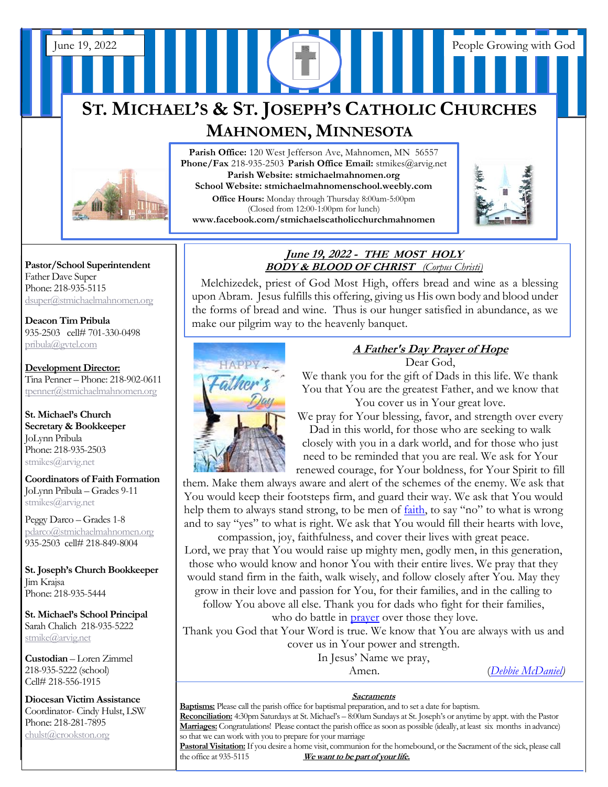## **ST. MICHAEL'S & ST. JOSEPH'S CATHOLIC CHURCHES MAHNOMEN, MINNESOTA**

June 19, 2022 People Growing with God



Parish Office: 120 West Jefferson Ave, Mahnomen, MN 56557 **Phone/Fax** 218-935-2503 **Parish Office Email:** stmikes@arvig.net **Parish Website: stmichaelmahnomen.org School Website: stmichaelmahnomenschool.weebly.com Office Hours:** Monday through Thursday 8:00am-5:00pm (Closed from 12:00-1:00pm for lunch) **www.facebook.com/stmichaelscatholicchurchmahnomen**



**Pastor/School Superintendent** Father Dave Super Phone: 218-935-5115 [dsuper@stmichaelmahnomen.org](mailto:dsuper@stmichaelmahnomen.org)

**Deacon Tim Pribula** 935-2503 cell# 701-330-0498 [pribula@gvtel.com](mailto:pribula@gvtel.com)

**Development Director:** Tina Penner – Phone: 218-902-0611 [tpenner@stmichaelmahnomen.org](mailto:tpenner@stmichaelmahnomen.org)

**St. Michael's Church Secretary & Bookkeeper** JoLynn Pribula Phone: 218-935-2503 stmikes@arvig.net

**Coordinators of Faith Formation**  JoLynn Pribula – Grades 9-11 stmikes@arvig.net

Peggy Darco – Grades 1-8 [pdarco@stmichaelmahnomen.org](mailto:pdarco@stmichaelmahnomen.org) 935-2503 cell# 218-849-8004

**St. Joseph's Church Bookkeeper** Jim Krajsa Phone: 218-935-5444

**St. Michael's School Principal** Sarah Chalich 218-935-5222 [stmike@arvig.net](mailto:stmike@arvig.net) 

**Custodian** – Loren Zimmel 218-935-5222 (school) Cell# 218-556-1915

**Diocesan Victim Assistance** Coordinator- Cindy Hulst, LSW Phone: 218-281-7895 [chulst@crookston.org](mailto:chulst@crookston.org)

j

#### **June 19, 2022 - THE MOST HOLY BODY & BLOOD OF CHRIST** *(Corpus Christi)*  $\overline{\phantom{a}}$   $\overline{\phantom{a}}$   $\overline{\phantom{a}}$   $\overline{\phantom{a}}$   $\overline{\phantom{a}}$   $\overline{\phantom{a}}$   $\overline{\phantom{a}}$   $\overline{\phantom{a}}$   $\overline{\phantom{a}}$   $\overline{\phantom{a}}$   $\overline{\phantom{a}}$   $\overline{\phantom{a}}$   $\overline{\phantom{a}}$   $\overline{\phantom{a}}$   $\overline{\phantom{a}}$   $\overline{\phantom{a}}$   $\overline{\phantom{a}}$   $\overline{\phantom{a}}$   $\overline{\$  $\mu$  me 19, 2022 - THE MOST HU  $\frac{DUD}{N}$  **butch by 21.9 and please in the please please please please please please i**

Melchizedek, priest of God Most High, offers bread and wine as a blessing upon Abram. Jesus fulfills this offering, giving us His own body and blood under the forme of broad and wine. Thus is our bunger estisfied in abundance, as we the forms of bread and wine. Thus is our hunger satisfied in abundance, as we make our pilgrim way to the heavenly banquet.



# *A Father's Day Prayer of Hope*

Dear God,

*MAPPY The We thank you for the gift of Dads in this life. We thank* $\sqrt{f}$ You that You are the greatest Father, and we know that You cover us in Your great love.

> We pray for Your blessing, favor, and strength over every Dad in this world, for those who are seeking to walk closely with you in a dark world, and for those who just need to be reminded that you are real. We ask for Your renewed courage, for Your boldness, for Your Spirit to fill

them. Make them always aware and alert of the schemes of the enemy. We ask that You would keep their footsteps firm, and guard their way. We ask that You would help them to always stand strong, to be men of <u>faith</u>, to say "no" to what is wrong and to say "yes" to what is right. We ask that You would fill their hearts with love,

compassion, joy, faithfulness, and cover their lives with great peace. Lord, we pray that You would raise up mighty men, godly men, in this generation, those who would know and honor You with their entire lives. We pray that they would stand firm in the faith, walk wisely, and follow closely after You. May they grow in their love and passion for You, for their families, and in the calling to follow You above all else. Thank you for dads who fight for their families,

who do battle in **[prayer](https://www.crosswalk.com/faith/prayer/)** over those they love.

Thank you God that Your Word is true. We know that You are always with us and cover us in Your power and strength.

In Jesus' Name we pray,

Amen. (*[Debbie McDaniel\)](https://www.crosswalk.com/blogs/debbie-mcdaniel/a-fathers-day-prayer-of-hope-for-the-dad-who-fought-an-alligator-and-for-every-other-brave-dad.html)*

#### **Sacraments**

**Baptisms:** Please call the parish office for baptismal preparation, and to set a date for baptism. **Reconciliation:** 4:30pm Saturdays at St. Michael's – 8:00am Sundays at St. Joseph's or anytime by appt. with the Pastor **Marriages:** Congratulations! Please contact the parish office as soon as possible (ideally, at least six months in advance) so that we can work with you to prepare for your marriage

**Pastoral Visitation:**If you desire a home visit, communion for the homebound, or the Sacrament of the sick, please call the office at 935-5115 **We want to be part of your life.**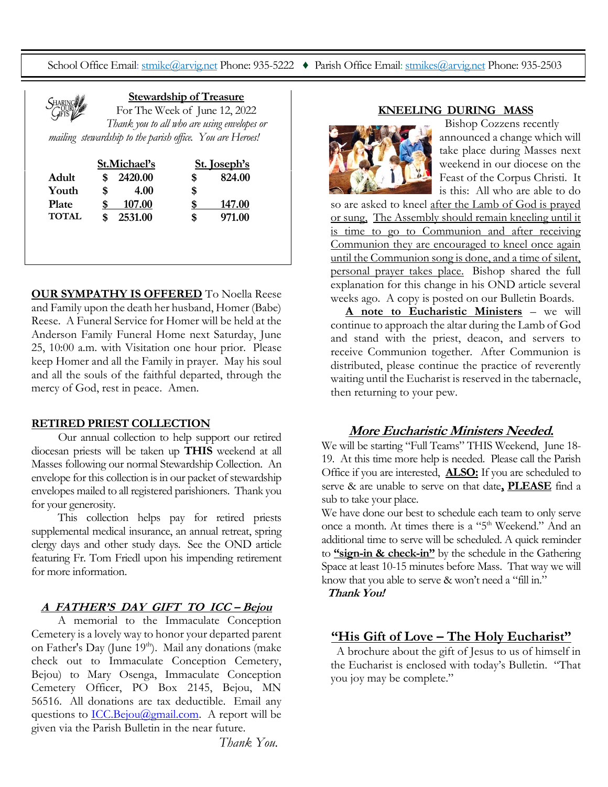School Office Email[: stmike@arvig.net](mailto:stmike@arvig.net) Phone: 935-5222 ♦ Parish Office Email: [stmikes@arvig.net](mailto:stmikes@arvig.net) Phone: 935-2503

|         | <b>Stewardship of Treasure</b> |                                                           |  |  |
|---------|--------------------------------|-----------------------------------------------------------|--|--|
| SHARING |                                | For The Week of June 12, 2022                             |  |  |
|         |                                | Thank you to all who are using envelopes or               |  |  |
|         |                                | mailing stewardship to the parish office. You are Heroes! |  |  |
|         |                                |                                                           |  |  |
|         | St.Michael's                   | St. Joseph's                                              |  |  |

| Adult        |   | 2420.00 | S  | 824.00 |
|--------------|---|---------|----|--------|
| Youth        | S | 4.00    | \$ |        |
| <b>Plate</b> |   | 107.00  |    | 147.00 |
| <b>TOTAL</b> |   | 2531.00 | S  | 971.00 |

> **OUR SYMPATHY IS OFFERED** To Noella Reese and Family upon the death her husband, Homer (Babe) Reese. A Funeral Service for Homer will be held at the Anderson Family Funeral Home next Saturday, June 25, 10:00 a.m. with Visitation one hour prior. Please keep Homer and all the Family in prayer. May his soul and all the souls of the faithful departed, through the mercy of God, rest in peace. Amen.

#### **RETIRED PRIEST COLLECTION**

 Our annual collection to help support our retired diocesan priests will be taken up **THIS** weekend at all Masses following our normal Stewardship Collection. An envelope for this collection is in our packet of stewardship envelopes mailed to all registered parishioners. Thank you for your generosity.

 This collection helps pay for retired priests supplemental medical insurance, an annual retreat, spring clergy days and other study days. See the OND article featuring Fr. Tom Friedl upon his impending retirement for more information.

#### **A FATHER'S DAY GIFT TO ICC – Bejou**

 A memorial to the Immaculate Conception Cemetery is a lovely way to honor your departed parent on Father's Day (June 19<sup>th</sup>). Mail any donations (make check out to Immaculate Conception Cemetery, Bejou) to Mary Osenga, Immaculate Conception Cemetery Officer, PO Box 2145, Bejou, MN 56516. All donations are tax deductible. Email any questions to  $\underline{\text{ICC}.Bejou@gmail.com}$ . A report will be given via the Parish Bulletin in the near future.

#### **KNEELING DURING MASS**



Bishop Cozzens recently announced a change which will take place during Masses next weekend in our diocese on the Feast of the Corpus Christi. It is this: All who are able to do

so are asked to kneel after the Lamb of God is prayed or sung, The Assembly should remain kneeling until it is time to go to Communion and after receiving Communion they are encouraged to kneel once again until the Communion song is done, and a time of silent, personal prayer takes place. Bishop shared the full explanation for this change in his OND article several weeks ago. A copy is posted on our Bulletin Boards.

 **A note to Eucharistic Ministers** – we will continue to approach the altar during the Lamb of God and stand with the priest, deacon, and servers to receive Communion together. After Communion is distributed, please continue the practice of reverently waiting until the Eucharist is reserved in the tabernacle, then returning to your pew.

### **More Eucharistic Ministers Needed.**

We will be starting "Full Teams" THIS Weekend, June 18-19. At this time more help is needed. Please call the Parish Office if you are interested, **ALSO:** If you are scheduled to serve & are unable to serve on that date**, PLEASE** find a sub to take your place.

We have done our best to schedule each team to only serve once a month. At times there is a "5<sup>th</sup> Weekend." And an additional time to serve will be scheduled. A quick reminder to **"sign-in & check-in"** by the schedule in the Gathering Space at least 10-15 minutes before Mass. That way we will know that you able to serve & won't need a "fill in."

**Thank You!**

## **"His Gift of Love – The Holy Eucharist"**

A brochure about the gift of Jesus to us of himself in the Eucharist is enclosed with today's Bulletin. "That you joy may be complete."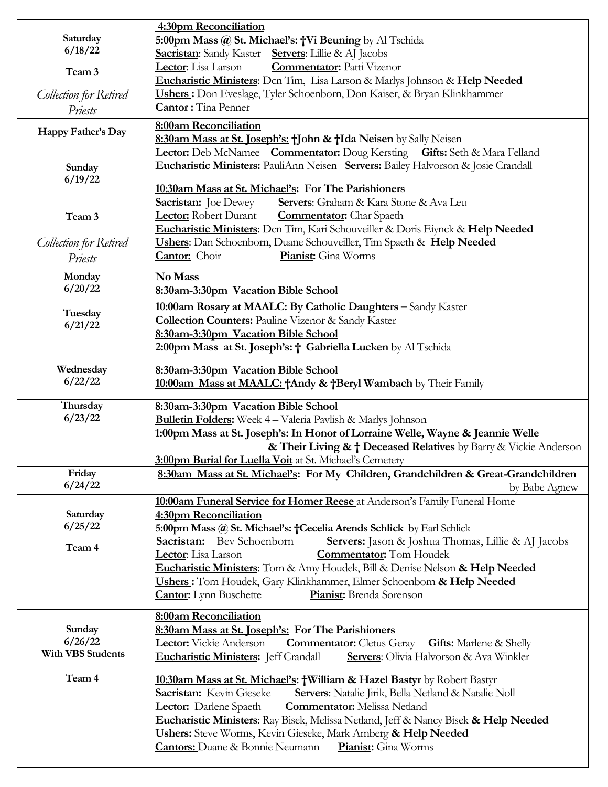| Saturday<br>6/18/22                      | 4:30pm Reconciliation<br>5:00pm Mass @ St. Michael's: +Vi Beuning by Al Tschida<br>Sacristan: Sandy Kaster Servers: Lillie & AJ Jacobs                                                                                                                                                                                                                                                                                                                                     |  |  |
|------------------------------------------|----------------------------------------------------------------------------------------------------------------------------------------------------------------------------------------------------------------------------------------------------------------------------------------------------------------------------------------------------------------------------------------------------------------------------------------------------------------------------|--|--|
| Team 3                                   | <b>Commentator:</b> Patti Vizenor<br>Lector: Lisa Larson<br>Eucharistic Ministers: Den Tim, Lisa Larson & Marlys Johnson & Help Needed                                                                                                                                                                                                                                                                                                                                     |  |  |
| <b>Collection for Retired</b><br>Priests | Ushers: Don Eveslage, Tyler Schoenborn, Don Kaiser, & Bryan Klinkhammer<br><b>Cantor:</b> Tina Penner                                                                                                                                                                                                                                                                                                                                                                      |  |  |
| Happy Father's Day                       | 8:00am Reconciliation<br>8:30am Mass at St. Joseph's: †John & †Ida Neisen by Sally Neisen                                                                                                                                                                                                                                                                                                                                                                                  |  |  |
| Sunday<br>6/19/22                        | Lector: Deb McNamee Commentator: Doug Kersting Gifts: Seth & Mara Felland<br>Eucharistic Ministers: PauliAnn Neisen Servers: Bailey Halvorson & Josie Crandall                                                                                                                                                                                                                                                                                                             |  |  |
|                                          | 10:30am Mass at St. Michael's: For The Parishioners                                                                                                                                                                                                                                                                                                                                                                                                                        |  |  |
| Team 3                                   | <b>Sacristan:</b> Joe Dewey<br>Servers: Graham & Kara Stone & Ava Leu<br>Lector: Robert Durant<br><b>Commentator:</b> Char Spaeth                                                                                                                                                                                                                                                                                                                                          |  |  |
|                                          | Eucharistic Ministers: Dcn Tim, Kari Schouveiller & Doris Eiynck & Help Needed<br>Ushers: Dan Schoenborn, Duane Schouveiller, Tim Spaeth & Help Needed                                                                                                                                                                                                                                                                                                                     |  |  |
| Collection for Retired<br>Priests        | Cantor: Choir<br>Pianist: Gina Worms                                                                                                                                                                                                                                                                                                                                                                                                                                       |  |  |
| Monday                                   | No Mass                                                                                                                                                                                                                                                                                                                                                                                                                                                                    |  |  |
| 6/20/22                                  | 8:30am-3:30pm Vacation Bible School                                                                                                                                                                                                                                                                                                                                                                                                                                        |  |  |
| Tuesday<br>6/21/22                       | 10:00am Rosary at MAALC: By Catholic Daughters - Sandy Kaster<br><b>Collection Counters:</b> Pauline Vizenor & Sandy Kaster<br>8:30am-3:30pm Vacation Bible School<br>2:00pm Mass at St. Joseph's: † Gabriella Lucken by Al Tschida                                                                                                                                                                                                                                        |  |  |
| Wednesday                                | 8:30am-3:30pm Vacation Bible School                                                                                                                                                                                                                                                                                                                                                                                                                                        |  |  |
| 6/22/22                                  | 10:00am Mass at MAALC: +Andy & +Beryl Wambach by Their Family                                                                                                                                                                                                                                                                                                                                                                                                              |  |  |
| Thursday<br>6/23/22                      | 8:30am-3:30pm Vacation Bible School<br><b>Bulletin Folders:</b> Week 4 - Valeria Pavlish & Marlys Johnson<br>1:00pm Mass at St. Joseph's: In Honor of Lorraine Welle, Wayne & Jeannie Welle<br>& Their Living & † Deceased Relatives by Barry & Vickie Anderson<br><b>3:00pm Burial for Luella Voit at St. Michael's Cemetery</b>                                                                                                                                          |  |  |
| Friday<br>6/24/22                        | 8:30am Mass at St. Michael's: For My Children, Grandchildren & Great-Grandchildren<br>by Babe Agnew                                                                                                                                                                                                                                                                                                                                                                        |  |  |
| Saturday                                 | 10:00am Funeral Service for Homer Reese at Anderson's Family Funeral Home<br>4:30pm Reconciliation                                                                                                                                                                                                                                                                                                                                                                         |  |  |
| 6/25/22                                  | 5:00pm Mass @ St. Michael's: +Cecelia Arends Schlick by Earl Schlick                                                                                                                                                                                                                                                                                                                                                                                                       |  |  |
| Team 4                                   | Sacristan: Bev Schoenborn<br>Servers: Jason & Joshua Thomas, Lillie & AJ Jacobs<br>Lector: Lisa Larson<br><b>Commentator:</b> Tom Houdek                                                                                                                                                                                                                                                                                                                                   |  |  |
|                                          | Eucharistic Ministers: Tom & Amy Houdek, Bill & Denise Nelson & Help Needed<br>Ushers: Tom Houdek, Gary Klinkhammer, Elmer Schoenborn & Help Needed<br><b>Cantor:</b> Lynn Buschette<br>Pianist: Brenda Sorenson                                                                                                                                                                                                                                                           |  |  |
| Sunday                                   | 8:00am Reconciliation                                                                                                                                                                                                                                                                                                                                                                                                                                                      |  |  |
| 6/26/22<br><b>With VBS Students</b>      | 8:30am Mass at St. Joseph's: For The Parishioners<br>Lector: Vickie Anderson<br><b>Commentator:</b> Cletus Geray<br><b>Gifts:</b> Marlene & Shelly<br>Eucharistic Ministers: Jeff Crandall<br>Servers: Olivia Halvorson & Ava Winkler                                                                                                                                                                                                                                      |  |  |
| Team 4                                   | 10:30am Mass at St. Michael's: †William & Hazel Bastyr by Robert Bastyr<br>Sacristan: Kevin Gieseke<br>Servers: Natalie Jirik, Bella Netland & Natalie Noll<br><b>Commentator:</b> Melissa Netland<br><b>Lector:</b> Darlene Spaeth<br><b>Eucharistic Ministers:</b> Ray Bisek, Melissa Netland, Jeff & Nancy Bisek & Help Needed<br><b>Ushers:</b> Steve Worms, Kevin Gieseke, Mark Amberg & Help Needed<br><b>Cantors:</b> Duane & Bonnie Neumann<br>Pianist: Gina Worms |  |  |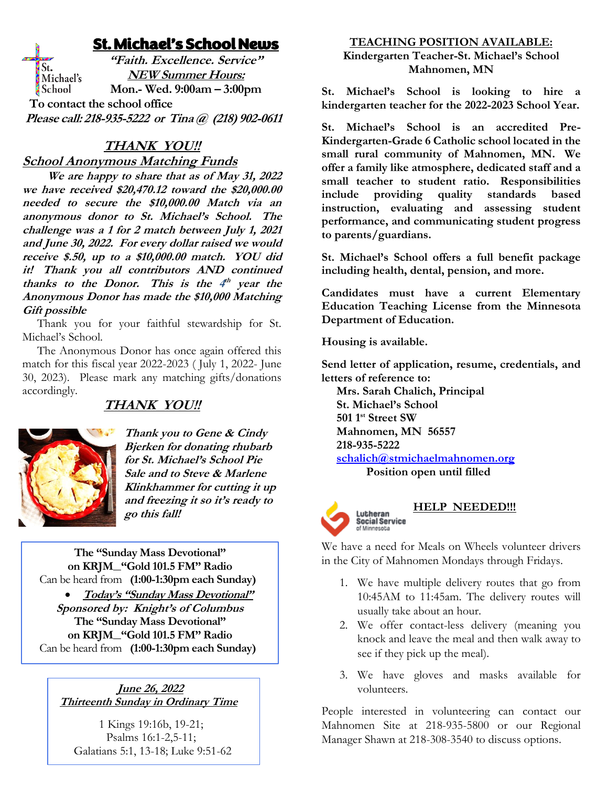## St. Michael's School News

**"Faith. Excellence. Service"** St. **NEW Summer Hours:** Michael's School **Mon.- Wed. 9:00am – 3:00pm To contact the school office Please call: 218-935-5222 or Tina @ (218) 902-0611**

## **THANK YOU!!**

**School Anonymous Matching Funds**

 **We are happy to share that as of May 31, 2022 we have received \$20,470.12 toward the \$20,000.00 needed to secure the \$10,000.00 Match via an anonymous donor to St. Michael's School. The challenge was a 1 for 2 match between July 1, 2021 and June 30, 2022. For every dollar raised we would receive \$.50, up to a \$10,000.00 match. YOU did it! Thank you all contributors AND continued**  thanks to the Donor. This is the  $4^{\text{th}}$  year the **Anonymous Donor has made the \$10,000 Matching Gift possible**

Thank you for your faithful stewardship for St. Michael's School.

 The Anonymous Donor has once again offered this match for this fiscal year 2022-2023 ( July 1, 2022- June 30, 2023). Please mark any matching gifts/donations accordingly.

## **THANK YOU!!**



**Thank you to Gene & Cindy Bjerken for donating rhubarb for St. Michael's School Pie Sale and to Steve & Marlene Klinkhammer for cutting it up and freezing it so it's ready to go this fall!**

**The "Sunday Mass Devotional" on KRJM "Gold 101.5 FM" Radio** Can be heard from **(1:00-1:30pm each Sunday)**

• **Today's "Sunday Mass Devotional" Sponsored by: Knight's of Columbus The "Sunday Mass Devotional" on KRJM "Gold 101.5 FM" Radio** Can be heard from **(1:00-1:30pm each Sunday)**

#### **June 26, 2022 Thirteenth Sunday in Ordinary Time**

1 Kings 19:16b, 19-21; Psalms 16:1-2,5-11; Galatians 5:1, 13-18; Luke 9:51-62

#### **TEACHING POSITION AVAILABLE: Kindergarten Teacher-St. Michael's School Mahnomen, MN**

**St. Michael's School is looking to hire a kindergarten teacher for the 2022-2023 School Year.** 

**St. Michael's School is an accredited Pre-Kindergarten-Grade 6 Catholic school located in the small rural community of Mahnomen, MN. We offer a family like atmosphere, dedicated staff and a small teacher to student ratio. Responsibilities include providing quality standards based instruction, evaluating and assessing student performance, and communicating student progress to parents/guardians.**

**St. Michael's School offers a full benefit package including health, dental, pension, and more.**

**Candidates must have a current Elementary Education Teaching License from the Minnesota Department of Education.**

**Housing is available.**

**Send letter of application, resume, credentials, and letters of reference to:**

 **Mrs. Sarah Chalich, Principal St. Michael's School 501 1st Street SW Mahnomen, MN 56557 218-935-5222 [schalich@stmichaelmahnomen.org](mailto:schalich@stmichaelmahnomen.org)**

 **Position open until filled**



## **HELP NEEDED!!!**

We have a need for Meals on Wheels volunteer drivers in the City of Mahnomen Mondays through Fridays.

- 1. We have multiple delivery routes that go from 10:45AM to 11:45am. The delivery routes will usually take about an hour.
- 2. We offer contact-less delivery (meaning you knock and leave the meal and then walk away to see if they pick up the meal).
- 3. We have gloves and masks available for volunteers.

People interested in volunteering can contact our Mahnomen Site at 218-935-5800 or our Regional Manager Shawn at 218-308-3540 to discuss options.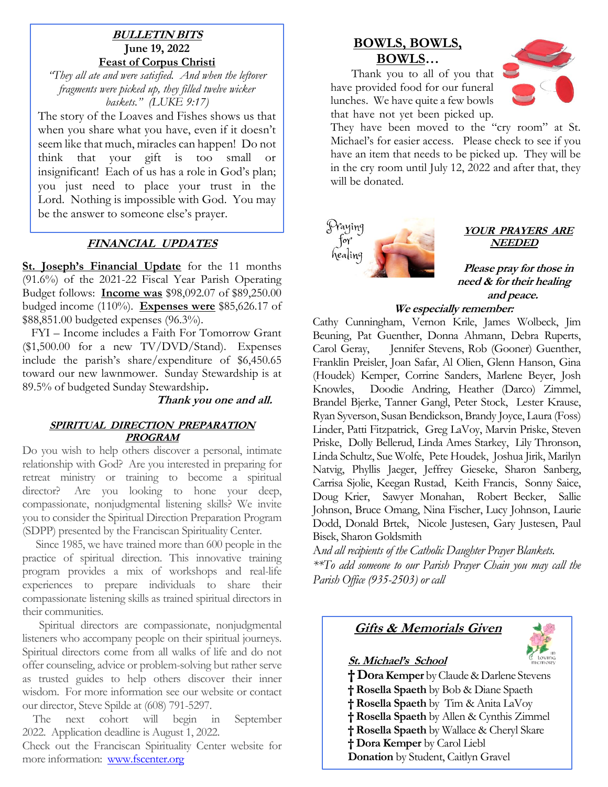#### **BULLETIN BITS June 19, 2022 Feast of Corpus Christi**

*"They all ate and were satisfied. And when the leftover fragments were picked up, they filled twelve wicker baskets." (LUKE 9:17)*

The story of the Loaves and Fishes shows us that when you share what you have, even if it doesn't seem like that much, miracles can happen! Do not think that your gift is too small or insignificant! Each of us has a role in God's plan; you just need to place your trust in the Lord. Nothing is impossible with God. You may be the answer to someone else's prayer.

### **FINANCIAL UPDATES**

**St. Joseph's Financial Update** for the 11 months (91.6%) of the 2021-22 Fiscal Year Parish Operating Budget follows: **Income was** \$98,092.07 of \$89,250.00 budged income (110%). **Expenses were** \$85,626.17 of \$88,851.00 budgeted expenses (96.3%).

 FYI – Income includes a Faith For Tomorrow Grant  $($1,500.00$  for a new TV/DVD/Stand). Expenses include the parish's share/expenditure of \$6,450.65 toward our new lawnmower. Sunday Stewardship is at 89.5% of budgeted Sunday Stewardship**.**

#### **Thank you one and all.**

#### **SPIRITUAL DIRECTION PREPARATION PROGRAM**

Do you wish to help others discover a personal, intimate relationship with God? Are you interested in preparing for retreat ministry or training to become a spiritual director? Are you looking to hone your deep, compassionate, nonjudgmental listening skills? We invite you to consider the Spiritual Direction Preparation Program (SDPP) presented by the Franciscan Spirituality Center.

 Since 1985, we have trained more than 600 people in the practice of spiritual direction. This innovative training program provides a mix of workshops and real-life experiences to prepare individuals to share their compassionate listening skills as trained spiritual directors in their communities.

 Spiritual directors are compassionate, nonjudgmental listeners who accompany people on their spiritual journeys. Spiritual directors come from all walks of life and do not offer counseling, advice or problem-solving but rather serve as trusted guides to help others discover their inner wisdom. For more information see our website or contact our director, Steve Spilde at (608) 791-5297.

 The next cohort will begin in September 2022. Application deadline is August 1, 2022.

Check out the Franciscan Spirituality Center website for more information: [www.fscenter.org](http://www.fscenter.org/)

## **BOWLS, BOWLS, BOWLS…**

 Thank you to all of you that have provided food for our funeral lunches. We have quite a few bowls that have not yet been picked up.



They have been moved to the "cry room" at St. Michael's for easier access. Please check to see if you have an item that needs to be picked up. They will be in the cry room until July 12, 2022 and after that, they will be donated.



#### **YOUR PRAYERS ARE NEEDED**

**Please pray for those in need & for their healing and peace.** 

#### **We especially remember:**

Cathy Cunningham, Vernon Krile, James Wolbeck, Jim Beuning, Pat Guenther, Donna Ahmann, Debra Ruperts, Carol Geray, Jennifer Stevens, Rob (Gooner) Guenther, Franklin Preisler, Joan Safar, Al Olien, Glenn Hanson, Gina (Houdek) Kemper, Corrine Sanders, Marlene Beyer, Josh Knowles, Doodie Andring, Heather (Darco) Zimmel, Brandel Bjerke, Tanner Gangl, Peter Stock, Lester Krause, Ryan Syverson, Susan Bendickson, Brandy Joyce, Laura (Foss) Linder, Patti Fitzpatrick, Greg LaVoy, Marvin Priske, Steven Priske, Dolly Bellerud, Linda Ames Starkey, Lily Thronson, Linda Schultz, Sue Wolfe, Pete Houdek, Joshua Jirik, Marilyn Natvig, Phyllis Jaeger, Jeffrey Gieseke, Sharon Sanberg, Carrisa Sjolie, Keegan Rustad, Keith Francis, Sonny Saice, Doug Krier, Sawyer Monahan, Robert Becker, Sallie Johnson, Bruce Omang, Nina Fischer, Lucy Johnson, Laurie Dodd, Donald Brtek, Nicole Justesen, Gary Justesen, Paul Bisek, Sharon Goldsmith

A*nd all recipients of the Catholic Daughter Prayer Blankets. \*\*To add someone to our Parish Prayer Chain you may call the Parish Office (935-2503) or call*